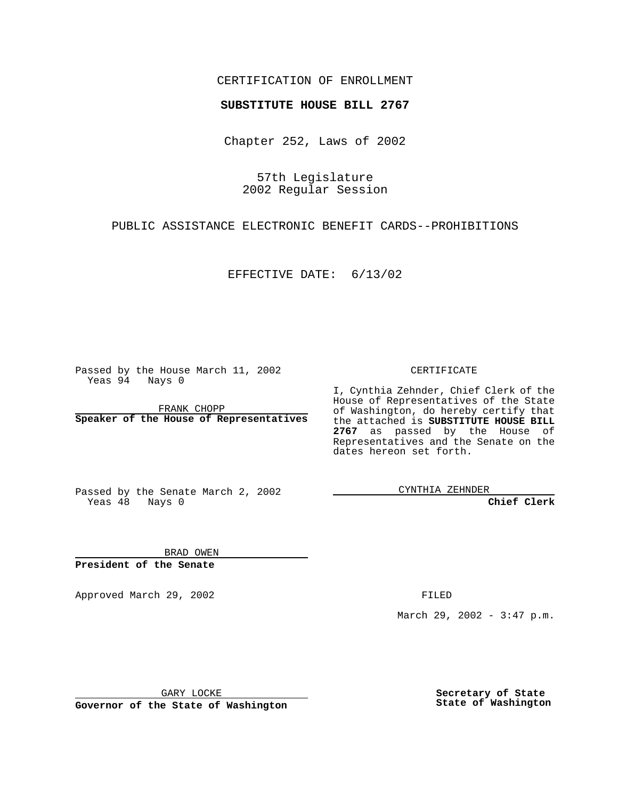#### CERTIFICATION OF ENROLLMENT

# **SUBSTITUTE HOUSE BILL 2767**

Chapter 252, Laws of 2002

57th Legislature 2002 Regular Session

PUBLIC ASSISTANCE ELECTRONIC BENEFIT CARDS--PROHIBITIONS

EFFECTIVE DATE: 6/13/02

Passed by the House March 11, 2002 Yeas 94 Nays 0

FRANK CHOPP **Speaker of the House of Representatives** CERTIFICATE

I, Cynthia Zehnder, Chief Clerk of the House of Representatives of the State of Washington, do hereby certify that the attached is **SUBSTITUTE HOUSE BILL 2767** as passed by the House of Representatives and the Senate on the dates hereon set forth.

Passed by the Senate March 2, 2002 Yeas 48 Nays 0

CYNTHIA ZEHNDER

**Chief Clerk**

BRAD OWEN **President of the Senate**

Approved March 29, 2002 **FILED** 

March 29, 2002 - 3:47 p.m.

GARY LOCKE

**Governor of the State of Washington**

**Secretary of State State of Washington**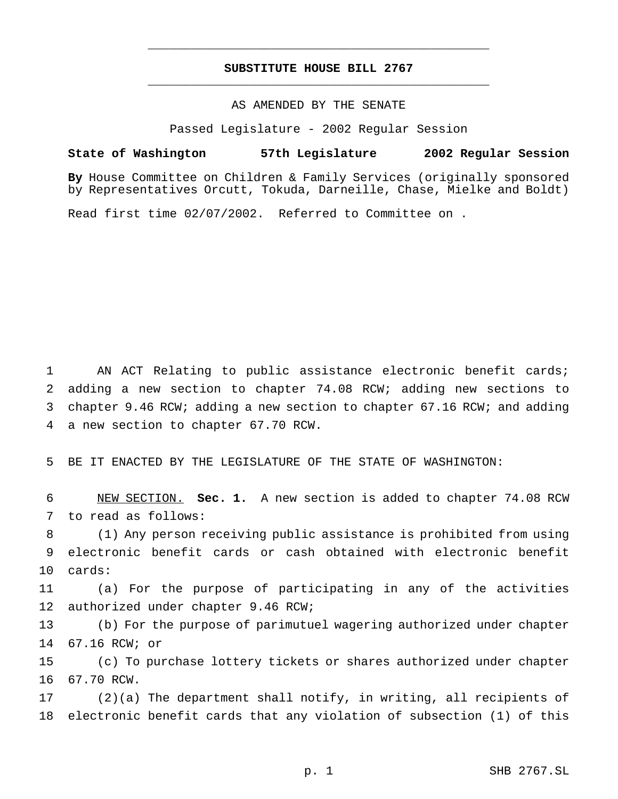### **SUBSTITUTE HOUSE BILL 2767** \_\_\_\_\_\_\_\_\_\_\_\_\_\_\_\_\_\_\_\_\_\_\_\_\_\_\_\_\_\_\_\_\_\_\_\_\_\_\_\_\_\_\_\_\_\_\_

\_\_\_\_\_\_\_\_\_\_\_\_\_\_\_\_\_\_\_\_\_\_\_\_\_\_\_\_\_\_\_\_\_\_\_\_\_\_\_\_\_\_\_\_\_\_\_

## AS AMENDED BY THE SENATE

Passed Legislature - 2002 Regular Session

#### **State of Washington 57th Legislature 2002 Regular Session**

**By** House Committee on Children & Family Services (originally sponsored by Representatives Orcutt, Tokuda, Darneille, Chase, Mielke and Boldt)

Read first time 02/07/2002. Referred to Committee on .

 AN ACT Relating to public assistance electronic benefit cards; adding a new section to chapter 74.08 RCW; adding new sections to chapter 9.46 RCW; adding a new section to chapter 67.16 RCW; and adding a new section to chapter 67.70 RCW.

BE IT ENACTED BY THE LEGISLATURE OF THE STATE OF WASHINGTON:

 NEW SECTION. **Sec. 1.** A new section is added to chapter 74.08 RCW to read as follows:

 (1) Any person receiving public assistance is prohibited from using electronic benefit cards or cash obtained with electronic benefit cards:

 (a) For the purpose of participating in any of the activities 12 authorized under chapter 9.46 RCW;

 (b) For the purpose of parimutuel wagering authorized under chapter 67.16 RCW; or

 (c) To purchase lottery tickets or shares authorized under chapter 67.70 RCW.

 (2)(a) The department shall notify, in writing, all recipients of electronic benefit cards that any violation of subsection (1) of this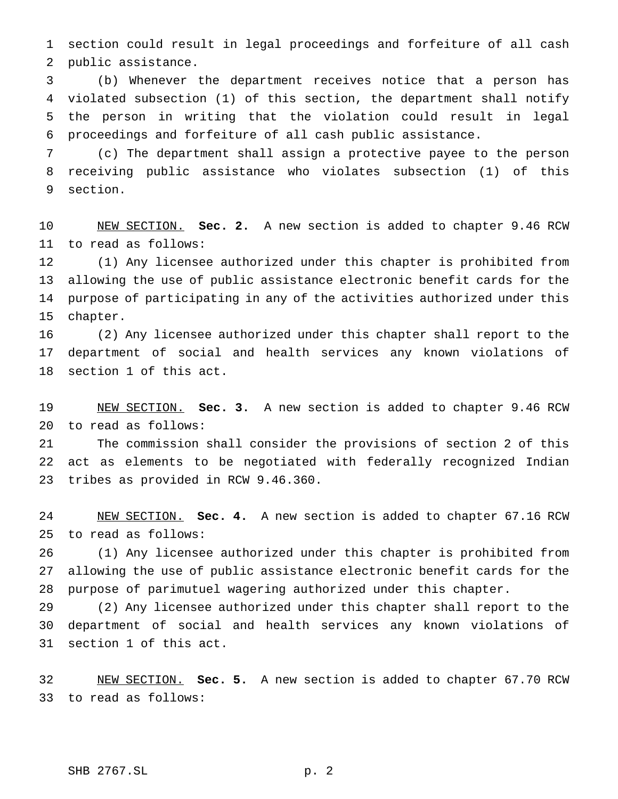section could result in legal proceedings and forfeiture of all cash public assistance.

 (b) Whenever the department receives notice that a person has violated subsection (1) of this section, the department shall notify the person in writing that the violation could result in legal proceedings and forfeiture of all cash public assistance.

 (c) The department shall assign a protective payee to the person receiving public assistance who violates subsection (1) of this section.

 NEW SECTION. **Sec. 2.** A new section is added to chapter 9.46 RCW to read as follows:

 (1) Any licensee authorized under this chapter is prohibited from allowing the use of public assistance electronic benefit cards for the purpose of participating in any of the activities authorized under this chapter.

 (2) Any licensee authorized under this chapter shall report to the department of social and health services any known violations of section 1 of this act.

 NEW SECTION. **Sec. 3.** A new section is added to chapter 9.46 RCW to read as follows:

 The commission shall consider the provisions of section 2 of this act as elements to be negotiated with federally recognized Indian tribes as provided in RCW 9.46.360.

 NEW SECTION. **Sec. 4.** A new section is added to chapter 67.16 RCW to read as follows:

 (1) Any licensee authorized under this chapter is prohibited from allowing the use of public assistance electronic benefit cards for the purpose of parimutuel wagering authorized under this chapter.

 (2) Any licensee authorized under this chapter shall report to the department of social and health services any known violations of section 1 of this act.

 NEW SECTION. **Sec. 5.** A new section is added to chapter 67.70 RCW to read as follows: